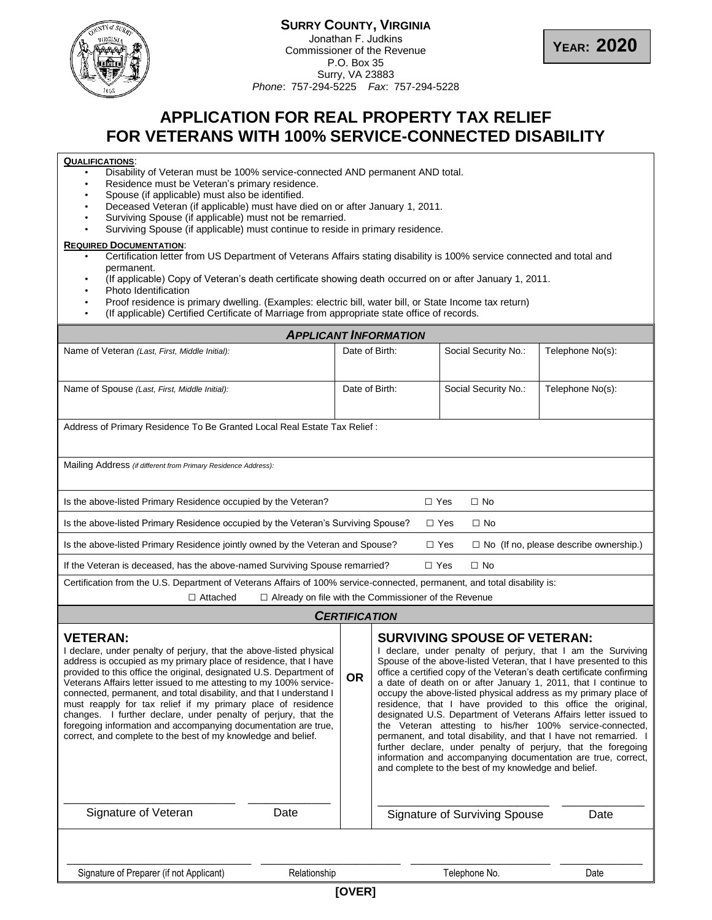

## **SURRY COUNTY, VIRGINIA** Jonathan F. Judkins Commissioner of the Revenue P.O. Box 35 Surry, VA 23883 *Phone*: 757-294-5225 *Fax*: 757-294-5228



# **APPLICATION FOR REAL PROPERTY TAX RELIEF FOR VETERANS WITH 100% SERVICE-CONNECTED DISABILITY**

# **QUALIFICATIONS**:

- Disability of Veteran must be 100% service-connected AND permanent AND total.
- Residence must be Veteran's primary residence.
- Spouse (if applicable) must also be identified.
- Deceased Veteran (if applicable) must have died on or after January 1, 2011.
- Surviving Spouse (if applicable) must not be remarried.
- Surviving Spouse (if applicable) must continue to reside in primary residence.

#### **REQUIRED DOCUMENTATION**:

- Certification letter from US Department of Veterans Affairs stating disability is 100% service connected and total and permanent.
- (If applicable) Copy of Veteran's death certificate showing death occurred on or after January 1, 2011.
- Photo Identification
- Proof residence is primary dwelling. (Examples: electric bill, water bill, or State Income tax return)
- (If applicable) Certified Certificate of Marriage from appropriate state office of records.

| <b>APPLICANT INFORMATION</b>                                                                                                                                                                                                                                                                                                                                                                                                                                                                                                                                                                                                                         |                      |                                                                                                                                                                                                                                                                                                                                                                                                                                                                                                                                                                                                                                                                                                                                                                                                                                                                    |                                      |                  |  |  |  |
|------------------------------------------------------------------------------------------------------------------------------------------------------------------------------------------------------------------------------------------------------------------------------------------------------------------------------------------------------------------------------------------------------------------------------------------------------------------------------------------------------------------------------------------------------------------------------------------------------------------------------------------------------|----------------------|--------------------------------------------------------------------------------------------------------------------------------------------------------------------------------------------------------------------------------------------------------------------------------------------------------------------------------------------------------------------------------------------------------------------------------------------------------------------------------------------------------------------------------------------------------------------------------------------------------------------------------------------------------------------------------------------------------------------------------------------------------------------------------------------------------------------------------------------------------------------|--------------------------------------|------------------|--|--|--|
| Name of Veteran (Last, First, Middle Initial):                                                                                                                                                                                                                                                                                                                                                                                                                                                                                                                                                                                                       |                      | Date of Birth:                                                                                                                                                                                                                                                                                                                                                                                                                                                                                                                                                                                                                                                                                                                                                                                                                                                     | Social Security No.:                 | Telephone No(s): |  |  |  |
| Name of Spouse (Last, First, Middle Initial):                                                                                                                                                                                                                                                                                                                                                                                                                                                                                                                                                                                                        |                      | Date of Birth:                                                                                                                                                                                                                                                                                                                                                                                                                                                                                                                                                                                                                                                                                                                                                                                                                                                     | Social Security No.:                 | Telephone No(s): |  |  |  |
| Address of Primary Residence To Be Granted Local Real Estate Tax Relief:                                                                                                                                                                                                                                                                                                                                                                                                                                                                                                                                                                             |                      |                                                                                                                                                                                                                                                                                                                                                                                                                                                                                                                                                                                                                                                                                                                                                                                                                                                                    |                                      |                  |  |  |  |
| Mailing Address (if different from Primary Residence Address):                                                                                                                                                                                                                                                                                                                                                                                                                                                                                                                                                                                       |                      |                                                                                                                                                                                                                                                                                                                                                                                                                                                                                                                                                                                                                                                                                                                                                                                                                                                                    |                                      |                  |  |  |  |
| Is the above-listed Primary Residence occupied by the Veteran?<br>$\Box$ Yes<br>$\Box$ No                                                                                                                                                                                                                                                                                                                                                                                                                                                                                                                                                            |                      |                                                                                                                                                                                                                                                                                                                                                                                                                                                                                                                                                                                                                                                                                                                                                                                                                                                                    |                                      |                  |  |  |  |
| Is the above-listed Primary Residence occupied by the Veteran's Surviving Spouse?<br>$\Box$ Yes<br>$\Box$ No                                                                                                                                                                                                                                                                                                                                                                                                                                                                                                                                         |                      |                                                                                                                                                                                                                                                                                                                                                                                                                                                                                                                                                                                                                                                                                                                                                                                                                                                                    |                                      |                  |  |  |  |
| Is the above-listed Primary Residence jointly owned by the Veteran and Spouse?<br>$\Box$ Yes<br>$\Box$ No (If no, please describe ownership.)                                                                                                                                                                                                                                                                                                                                                                                                                                                                                                        |                      |                                                                                                                                                                                                                                                                                                                                                                                                                                                                                                                                                                                                                                                                                                                                                                                                                                                                    |                                      |                  |  |  |  |
| $\Box$ Yes<br>If the Veteran is deceased, has the above-named Surviving Spouse remarried?<br>$\Box$ No                                                                                                                                                                                                                                                                                                                                                                                                                                                                                                                                               |                      |                                                                                                                                                                                                                                                                                                                                                                                                                                                                                                                                                                                                                                                                                                                                                                                                                                                                    |                                      |                  |  |  |  |
| Certification from the U.S. Department of Veterans Affairs of 100% service-connected, permanent, and total disability is:<br>$\Box$ Attached<br>$\Box$ Already on file with the Commissioner of the Revenue                                                                                                                                                                                                                                                                                                                                                                                                                                          |                      |                                                                                                                                                                                                                                                                                                                                                                                                                                                                                                                                                                                                                                                                                                                                                                                                                                                                    |                                      |                  |  |  |  |
|                                                                                                                                                                                                                                                                                                                                                                                                                                                                                                                                                                                                                                                      | <b>CERTIFICATION</b> |                                                                                                                                                                                                                                                                                                                                                                                                                                                                                                                                                                                                                                                                                                                                                                                                                                                                    |                                      |                  |  |  |  |
| <b>VETERAN:</b><br>I declare, under penalty of perjury, that the above-listed physical<br>address is occupied as my primary place of residence, that I have<br>provided to this office the original, designated U.S. Department of<br>Veterans Affairs letter issued to me attesting to my 100% service-<br>connected, permanent, and total disability, and that I understand I<br>must reapply for tax relief if my primary place of residence<br>changes. I further declare, under penalty of perjury, that the<br>foregoing information and accompanying documentation are true,<br>correct, and complete to the best of my knowledge and belief. |                      | <b>SURVIVING SPOUSE OF VETERAN:</b><br>I declare, under penalty of perjury, that I am the Surviving<br>Spouse of the above-listed Veteran, that I have presented to this<br>office a certified copy of the Veteran's death certificate confirming<br><b>OR</b><br>a date of death on or after January 1, 2011, that I continue to<br>occupy the above-listed physical address as my primary place of<br>residence, that I have provided to this office the original,<br>designated U.S. Department of Veterans Affairs letter issued to<br>the Veteran attesting to his/her 100% service-connected,<br>permanent, and total disability, and that I have not remarried. I<br>further declare, under penalty of perjury, that the foregoing<br>information and accompanying documentation are true, correct,<br>and complete to the best of my knowledge and belief. |                                      |                  |  |  |  |
| Signature of Veteran<br>Date                                                                                                                                                                                                                                                                                                                                                                                                                                                                                                                                                                                                                         |                      |                                                                                                                                                                                                                                                                                                                                                                                                                                                                                                                                                                                                                                                                                                                                                                                                                                                                    | <b>Signature of Surviving Spouse</b> | Date             |  |  |  |
| Signature of Preparer (if not Applicant)<br>Relationship                                                                                                                                                                                                                                                                                                                                                                                                                                                                                                                                                                                             |                      |                                                                                                                                                                                                                                                                                                                                                                                                                                                                                                                                                                                                                                                                                                                                                                                                                                                                    | Telephone No.                        | Date             |  |  |  |